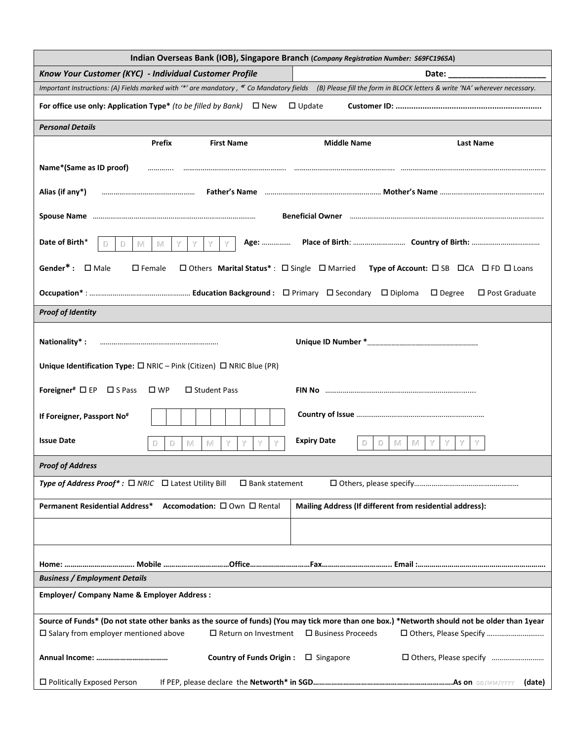| Indian Overseas Bank (IOB), Singapore Branch (Company Registration Number: S69FC1965A)                                                                               |  |  |  |  |  |
|----------------------------------------------------------------------------------------------------------------------------------------------------------------------|--|--|--|--|--|
| Know Your Customer (KYC) - Individual Customer Profile<br>Date: $\_\_$                                                                                               |  |  |  |  |  |
| Important Instructions: (A) Fields marked with '*' are mandatory, '#' Co Mandatory fields (B) Please fill the form in BLOCK letters & write 'NA' wherever necessary. |  |  |  |  |  |
| For office use only: Application Type* (to be filled by Bank) $\Box$ New<br>$\Box$ Update                                                                            |  |  |  |  |  |
| <b>Personal Details</b>                                                                                                                                              |  |  |  |  |  |
| Prefix<br><b>First Name</b><br><b>Middle Name</b><br><b>Last Name</b>                                                                                                |  |  |  |  |  |
| Name*(Same as ID proof)                                                                                                                                              |  |  |  |  |  |
| Alias (if any*)                                                                                                                                                      |  |  |  |  |  |
| Beneficial Owner ……………………………………………………………………………………<br>Spouse Name manual communication and contain the spouse Name                                                    |  |  |  |  |  |
| Date of Birth*<br>V<br>D<br>V<br>M<br>M<br>D                                                                                                                         |  |  |  |  |  |
| Gender <sup>*</sup> : $\Box$ Male<br>$\square$ Female<br>□ Others Marital Status* : □ Single □ Married Type of Account: □ SB □ CA □ FD □ Loans                       |  |  |  |  |  |
| $\Box$ Post Graduate                                                                                                                                                 |  |  |  |  |  |
| <b>Proof of Identity</b>                                                                                                                                             |  |  |  |  |  |
| Nationality*:<br>Unique Identification Type: $\square$ NRIC - Pink (Citizen) $\square$ NRIC Blue (PR)                                                                |  |  |  |  |  |
|                                                                                                                                                                      |  |  |  |  |  |
| <b>Foreigner</b> # $\Box$ EP $\Box$ S Pass<br>$\square$ WP<br>$\Box$ Student Pass                                                                                    |  |  |  |  |  |
| If Foreigner, Passport No#                                                                                                                                           |  |  |  |  |  |
| <b>Issue Date</b><br><b>Expiry Date</b><br>M<br>Y<br>Y<br>D<br>M<br>Y<br>Y<br>D<br>M<br>M<br>D                                                                       |  |  |  |  |  |
| <b>Proof of Address</b>                                                                                                                                              |  |  |  |  |  |
| Type of Address Proof*: $\Box$ NRIC $\Box$ Latest Utility Bill<br>$\square$ Bank statement                                                                           |  |  |  |  |  |
| <b>Permanent Residential Address*</b><br>Accomodation: □ Own □ Rental<br>Mailing Address (If different from residential address):                                    |  |  |  |  |  |
|                                                                                                                                                                      |  |  |  |  |  |
|                                                                                                                                                                      |  |  |  |  |  |
| <b>Business / Employment Details</b>                                                                                                                                 |  |  |  |  |  |
| <b>Employer/ Company Name &amp; Employer Address:</b>                                                                                                                |  |  |  |  |  |
| Source of Funds* (Do not state other banks as the source of funds) (You may tick more than one box.) *Networth should not be older than 1year                        |  |  |  |  |  |
| $\square$ Salary from employer mentioned above<br>$\Box$ Return on Investment<br>□ Business Proceeds<br>□ Others, Please Specify                                     |  |  |  |  |  |
| Country of Funds Origin : $\Box$ Singapore                                                                                                                           |  |  |  |  |  |
| □ Politically Exposed Person<br>(date)                                                                                                                               |  |  |  |  |  |